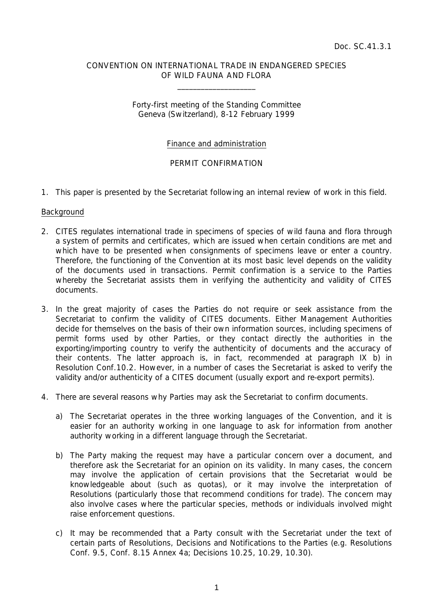## CONVENTION ON INTERNATIONAL TRADE IN ENDANGERED SPECIES OF WILD FAUNA AND FLORA

 $\overline{\phantom{a}}$  , which is a set of the set of the set of the set of the set of the set of the set of the set of the set of the set of the set of the set of the set of the set of the set of the set of the set of the set of th

## Forty-first meeting of the Standing Committee Geneva (Switzerland), 8-12 February 1999

# Finance and administration

# PERMIT CONFIRMATION

1. This paper is presented by the Secretariat following an internal review of work in this field.

#### **Background**

- 2. CITES regulates international trade in specimens of species of wild fauna and flora through a system of permits and certificates, which are issued when certain conditions are met and which have to be presented when consignments of specimens leave or enter a country. Therefore, the functioning of the Convention at its most basic level depends on the validity of the documents used in transactions. Permit confirmation is a service to the Parties whereby the Secretariat assists them in verifying the authenticity and validity of CITES documents.
- 3. In the great majority of cases the Parties do not require or seek assistance from the Secretariat to confirm the validity of CITES documents. Either Management Authorities decide for themselves on the basis of their own information sources, including specimens of permit forms used by other Parties, or they contact directly the authorities in the exporting/importing country to verify the authenticity of documents and the accuracy of their contents. The latter approach is, in fact, recommended at paragraph IX b) in Resolution Conf.10.2. However, in a number of cases the Secretariat is asked to verify the validity and/or authenticity of a CITES document (usually export and re-export permits).
- 4. There are several reasons why Parties may ask the Secretariat to confirm documents.
	- a) The Secretariat operates in the three working languages of the Convention, and it is easier for an authority working in one language to ask for information from another authority working in a different language through the Secretariat.
	- b) The Party making the request may have a particular concern over a document, and therefore ask the Secretariat for an opinion on its validity. In many cases, the concern may involve the application of certain provisions that the Secretariat would be knowledgeable about (such as quotas), or it may involve the interpretation of Resolutions (particularly those that recommend conditions for trade). The concern may also involve cases where the particular species, methods or individuals involved might raise enforcement questions.
	- c) It may be recommended that a Party consult with the Secretariat under the text of certain parts of Resolutions, Decisions and Notifications to the Parties (e.g. Resolutions Conf. 9.5, Conf. 8.15 Annex 4a; Decisions 10.25, 10.29, 10.30).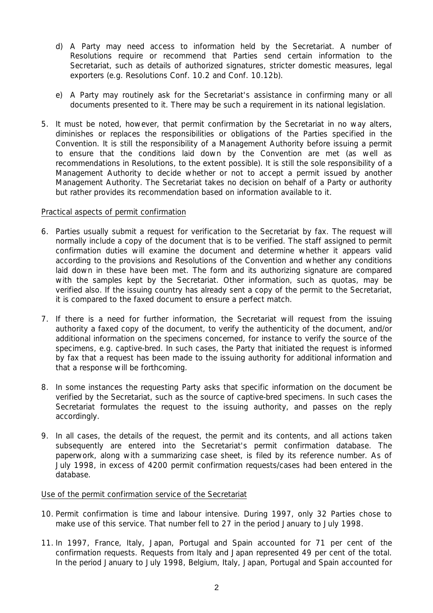- d) A Party may need access to information held by the Secretariat. A number of Resolutions require or recommend that Parties send certain information to the Secretariat, such as details of authorized signatures, stricter domestic measures, legal exporters (e.g. Resolutions Conf. 10.2 and Conf. 10.12b).
- e) A Party may routinely ask for the Secretariat's assistance in confirming many or all documents presented to it. There may be such a requirement in its national legislation.
- 5. It must be noted, however, that permit confirmation by the Secretariat in no way alters, diminishes or replaces the responsibilities or obligations of the Parties specified in the Convention. It is still the responsibility of a Management Authority before issuing a permit to ensure that the conditions laid down by the Convention are met (as well as recommendations in Resolutions, to the extent possible). It is still the sole responsibility of a Management Authority to decide whether or not to accept a permit issued by another Management Authority. The Secretariat takes no decision on behalf of a Party or authority but rather provides its recommendation based on information available to it.

## Practical aspects of permit confirmation

- 6. Parties usually submit a request for verification to the Secretariat by fax. The request will normally include a copy of the document that is to be verified. The staff assigned to permit confirmation duties will examine the document and determine whether it appears valid according to the provisions and Resolutions of the Convention and whether any conditions laid down in these have been met. The form and its authorizing signature are compared with the samples kept by the Secretariat. Other information, such as quotas, may be verified also. If the issuing country has already sent a copy of the permit to the Secretariat, it is compared to the faxed document to ensure a perfect match.
- 7. If there is a need for further information, the Secretariat will request from the issuing authority a faxed copy of the document, to verify the authenticity of the document, and/or additional information on the specimens concerned, for instance to verify the source of the specimens, e.g. captive-bred. In such cases, the Party that initiated the request is informed by fax that a request has been made to the issuing authority for additional information and that a response will be forthcoming.
- 8. In some instances the requesting Party asks that specific information on the document be verified by the Secretariat, such as the source of captive-bred specimens. In such cases the Secretariat formulates the request to the issuing authority, and passes on the reply accordingly.
- 9. In all cases, the details of the request, the permit and its contents, and all actions taken subsequently are entered into the Secretariat's permit confirmation database. The paperwork, along with a summarizing case sheet, is filed by its reference number. As of July 1998, in excess of 4200 permit confirmation requests/cases had been entered in the database.

# Use of the permit confirmation service of the Secretariat

- 10. Permit confirmation is time and labour intensive. During 1997, only 32 Parties chose to make use of this service. That number fell to 27 in the period January to July 1998.
- 11. In 1997, France, Italy, Japan, Portugal and Spain accounted for 71 per cent of the confirmation requests. Requests from Italy and Japan represented 49 per cent of the total. In the period January to July 1998, Belgium, Italy, Japan, Portugal and Spain accounted for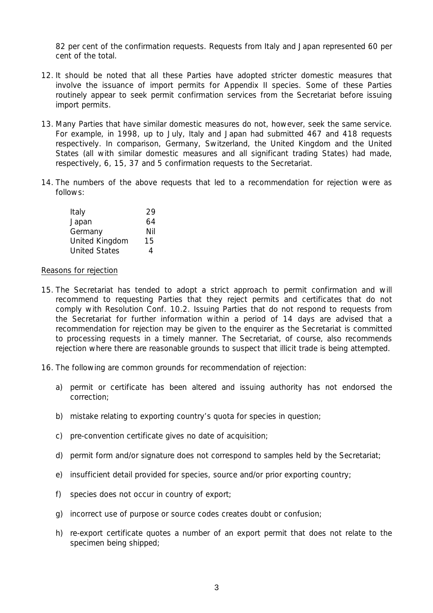82 per cent of the confirmation requests. Requests from Italy and Japan represented 60 per cent of the total.

- 12. It should be noted that all these Parties have adopted stricter domestic measures that involve the issuance of import permits for Appendix II species. Some of these Parties routinely appear to seek permit confirmation services from the Secretariat before issuing import permits.
- 13. Many Parties that have similar domestic measures do not, however, seek the same service. For example, in 1998, up to July, Italy and Japan had submitted 467 and 418 requests respectively. In comparison, Germany, Switzerland, the United Kingdom and the United States (all with similar domestic measures and all significant trading States) had made, respectively, 6, 15, 37 and 5 confirmation requests to the Secretariat.
- 14. The numbers of the above requests that led to a recommendation for rejection were as follows:

| Italy                | 29  |
|----------------------|-----|
| Japan                | 64  |
| Germany              | Nil |
| United Kingdom       | 15  |
| <b>United States</b> | 4   |

#### Reasons for rejection

- 15. The Secretariat has tended to adopt a strict approach to permit confirmation and will recommend to requesting Parties that they reject permits and certificates that do not comply with Resolution Conf. 10.2. Issuing Parties that do not respond to requests from the Secretariat for further information within a period of 14 days are advised that a recommendation for rejection may be given to the enquirer as the Secretariat is committed to processing requests in a timely manner. The Secretariat, of course, also recommends rejection where there are reasonable grounds to suspect that illicit trade is being attempted.
- 16. The following are common grounds for recommendation of rejection:
	- a) permit or certificate has been altered and issuing authority has not endorsed the correction;
	- b) mistake relating to exporting country's quota for species in question;
	- c) pre-convention certificate gives no date of acquisition;
	- d) permit form and/or signature does not correspond to samples held by the Secretariat;
	- e) insufficient detail provided for species, source and/or prior exporting country;
	- f) species does not occur in country of export;
	- g) incorrect use of purpose or source codes creates doubt or confusion;
	- h) re-export certificate quotes a number of an export permit that does not relate to the specimen being shipped;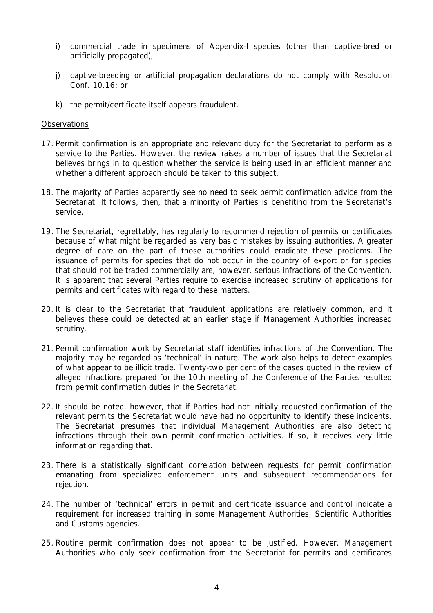- i) commercial trade in specimens of Appendix-I species (other than captive-bred or artificially propagated);
- j) captive-breeding or artificial propagation declarations do not comply with Resolution Conf. 10.16; or
- k) the permit/certificate itself appears fraudulent.

### **Observations**

- 17. Permit confirmation is an appropriate and relevant duty for the Secretariat to perform as a service to the Parties. However, the review raises a number of issues that the Secretariat believes brings in to question whether the service is being used in an efficient manner and whether a different approach should be taken to this subject.
- 18. The majority of Parties apparently see no need to seek permit confirmation advice from the Secretariat. It follows, then, that a minority of Parties is benefiting from the Secretariat's service.
- 19. The Secretariat, regrettably, has regularly to recommend rejection of permits or certificates because of what might be regarded as very basic mistakes by issuing authorities. A greater degree of care on the part of those authorities could eradicate these problems. The issuance of permits for species that do not occur in the country of export or for species that should not be traded commercially are, however, serious infractions of the Convention. It is apparent that several Parties require to exercise increased scrutiny of applications for permits and certificates with regard to these matters.
- 20. It is clear to the Secretariat that fraudulent applications are relatively common, and it believes these could be detected at an earlier stage if Management Authorities increased scrutiny.
- 21. Permit confirmation work by Secretariat staff identifies infractions of the Convention. The majority may be regarded as 'technical' in nature. The work also helps to detect examples of what appear to be illicit trade. Twenty-two per cent of the cases quoted in the review of alleged infractions prepared for the 10th meeting of the Conference of the Parties resulted from permit confirmation duties in the Secretariat.
- 22. It should be noted, however, that if Parties had not initially requested confirmation of the relevant permits the Secretariat would have had no opportunity to identify these incidents. The Secretariat presumes that individual Management Authorities are also detecting infractions through their own permit confirmation activities. If so, it receives very little information regarding that.
- 23. There is a statistically significant correlation between requests for permit confirmation emanating from specialized enforcement units and subsequent recommendations for rejection.
- 24. The number of 'technical' errors in permit and certificate issuance and control indicate a requirement for increased training in some Management Authorities, Scientific Authorities and Customs agencies.
- 25. Routine permit confirmation does not appear to be justified. However, Management Authorities who only seek confirmation from the Secretariat for permits and certificates